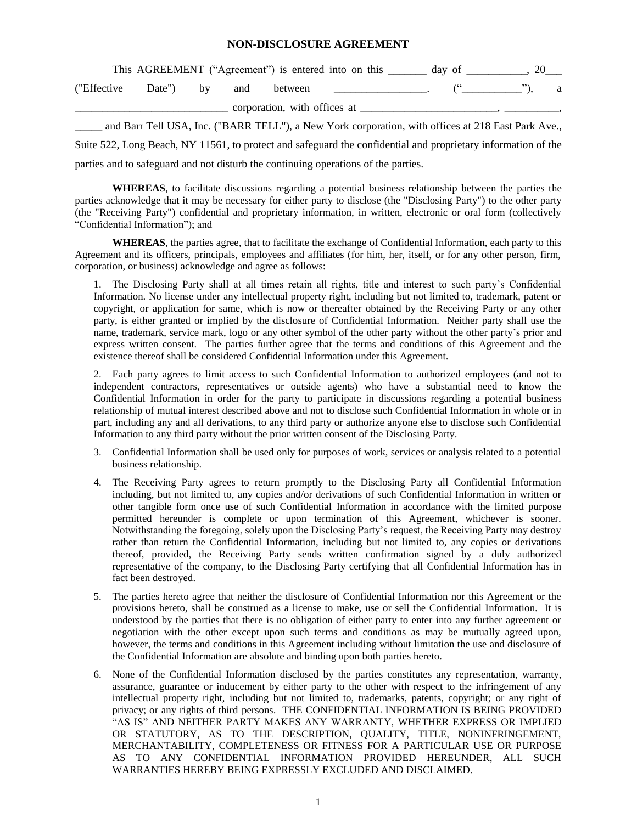## **NON-DISCLOSURE AGREEMENT**

|               |           |  | This AGREEMENT ("Agreement") is entered into on this | day of |  |  |
|---------------|-----------|--|------------------------------------------------------|--------|--|--|
| ("Effective") | Date") by |  | and between                                          |        |  |  |
|               |           |  | corporation, with offices at                         |        |  |  |

and Barr Tell USA, Inc. ("BARR TELL"), a New York corporation, with offices at 218 East Park Ave., Suite 522, Long Beach, NY 11561, to protect and safeguard the confidential and proprietary information of the parties and to safeguard and not disturb the continuing operations of the parties.

**WHEREAS**, to facilitate discussions regarding a potential business relationship between the parties the parties acknowledge that it may be necessary for either party to disclose (the "Disclosing Party") to the other party (the "Receiving Party") confidential and proprietary information, in written, electronic or oral form (collectively "Confidential Information"); and

**WHEREAS**, the parties agree, that to facilitate the exchange of Confidential Information, each party to this Agreement and its officers, principals, employees and affiliates (for him, her, itself, or for any other person, firm, corporation, or business) acknowledge and agree as follows:

1. The Disclosing Party shall at all times retain all rights, title and interest to such party's Confidential Information. No license under any intellectual property right, including but not limited to, trademark, patent or copyright, or application for same, which is now or thereafter obtained by the Receiving Party or any other party, is either granted or implied by the disclosure of Confidential Information. Neither party shall use the name, trademark, service mark, logo or any other symbol of the other party without the other party's prior and express written consent. The parties further agree that the terms and conditions of this Agreement and the existence thereof shall be considered Confidential Information under this Agreement.

2. Each party agrees to limit access to such Confidential Information to authorized employees (and not to independent contractors, representatives or outside agents) who have a substantial need to know the Confidential Information in order for the party to participate in discussions regarding a potential business relationship of mutual interest described above and not to disclose such Confidential Information in whole or in part, including any and all derivations, to any third party or authorize anyone else to disclose such Confidential Information to any third party without the prior written consent of the Disclosing Party.

- 3. Confidential Information shall be used only for purposes of work, services or analysis related to a potential business relationship.
- 4. The Receiving Party agrees to return promptly to the Disclosing Party all Confidential Information including, but not limited to, any copies and/or derivations of such Confidential Information in written or other tangible form once use of such Confidential Information in accordance with the limited purpose permitted hereunder is complete or upon termination of this Agreement, whichever is sooner. Notwithstanding the foregoing, solely upon the Disclosing Party's request, the Receiving Party may destroy rather than return the Confidential Information, including but not limited to, any copies or derivations thereof, provided, the Receiving Party sends written confirmation signed by a duly authorized representative of the company, to the Disclosing Party certifying that all Confidential Information has in fact been destroyed.
- 5. The parties hereto agree that neither the disclosure of Confidential Information nor this Agreement or the provisions hereto, shall be construed as a license to make, use or sell the Confidential Information. It is understood by the parties that there is no obligation of either party to enter into any further agreement or negotiation with the other except upon such terms and conditions as may be mutually agreed upon, however, the terms and conditions in this Agreement including without limitation the use and disclosure of the Confidential Information are absolute and binding upon both parties hereto.
- 6. None of the Confidential Information disclosed by the parties constitutes any representation, warranty, assurance, guarantee or inducement by either party to the other with respect to the infringement of any intellectual property right, including but not limited to, trademarks, patents, copyright; or any right of privacy; or any rights of third persons. THE CONFIDENTIAL INFORMATION IS BEING PROVIDED "AS IS" AND NEITHER PARTY MAKES ANY WARRANTY, WHETHER EXPRESS OR IMPLIED OR STATUTORY, AS TO THE DESCRIPTION, QUALITY, TITLE, NONINFRINGEMENT, MERCHANTABILITY, COMPLETENESS OR FITNESS FOR A PARTICULAR USE OR PURPOSE AS TO ANY CONFIDENTIAL INFORMATION PROVIDED HEREUNDER, ALL SUCH WARRANTIES HEREBY BEING EXPRESSLY EXCLUDED AND DISCLAIMED.